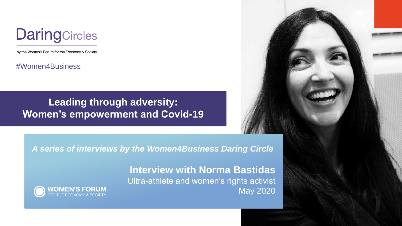

by the Women's Forum for the Economy & Society

#Women4Business

# **Leading through adversity: Women's empowerment and Covid-19**



*A series of interviews by the Women4Business Daring Circle*

**Interview with Norma Bastidas** Ultra-athlete and women's rights activist May 2020

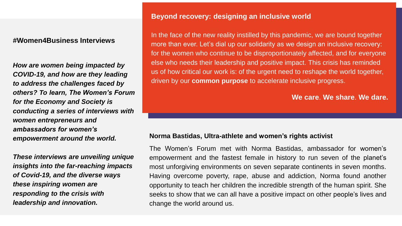## **#Women4Business Interviews**

*How are women being impacted by COVID-19, and how are they leading to address the challenges faced by others? To learn, The Women's Forum for the Economy and Society is conducting a series of interviews with women entrepreneurs and ambassadors for women's empowerment around the world.* 

*These interviews are unveiling unique insights into the far-reaching impacts of Covid-19, and the diverse ways these inspiring women are responding to the crisis with leadership and innovation.*

## **Beyond recovery: designing an inclusive world**

In the face of the new reality instilled by this pandemic, we are bound together more than ever. Let's dial up our solidarity as we design an inclusive recovery: for the women who continue to be disproportionately affected, and for everyone else who needs their leadership and positive impact. This crisis has reminded us of how critical our work is: of the urgent need to reshape the world together, driven by our **common purpose** to accelerate inclusive progress.

**We care**. **We share**. **We dare.**

#### **Norma Bastidas, Ultra-athlete and women's rights activist**

The Women's Forum met with Norma Bastidas, ambassador for women's empowerment and the fastest female in history to run seven of the planet's most unforgiving environments on seven separate continents in seven months. Having overcome poverty, rape, abuse and addiction, Norma found another opportunity to teach her children the incredible strength of the human spirit. She seeks to show that we can all have a positive impact on other people's lives and change the world around us.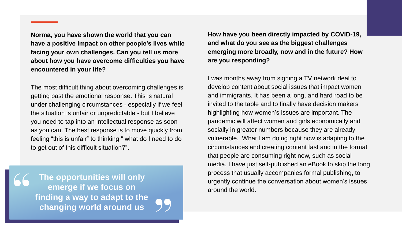**Norma, you have shown the world that you can have a positive impact on other people's lives while facing your own challenges. Can you tell us more about how you have overcome difficulties you have encountered in your life?** 

The most difficult thing about overcoming challenges is getting past the emotional response. This is natural under challenging circumstances - especially if we feel the situation is unfair or unpredictable - but I believe you need to tap into an intellectual response as soon as you can. The best response is to move quickly from feeling "this is unfair" to thinking " what do I need to do to get out of this difficult situation?".

**The opportunities will only emerge if we focus on finding a way to adapt to the changing world around us**

**How have you been directly impacted by COVID-19, and what do you see as the biggest challenges emerging more broadly, now and in the future? How are you responding?**

I was months away from signing a TV network deal to develop content about social issues that impact women and immigrants. It has been a long, and hard road to be invited to the table and to finally have decision makers highlighting how women's issues are important. The pandemic will affect women and girls economically and socially in greater numbers because they are already vulnerable. What I am doing right now is adapting to the circumstances and creating content fast and in the format that people are consuming right now, such as social media. I have just self-published an eBook to skip the long process that usually accompanies formal publishing, to urgently continue the conversation about women's issues around the world.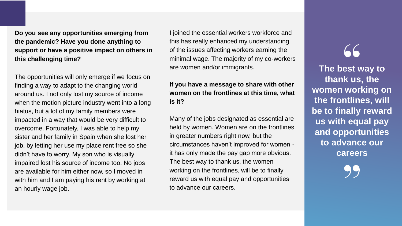**Do you see any opportunities emerging from the pandemic? Have you done anything to support or have a positive impact on others in this challenging time?**

The opportunities will only emerge if we focus on finding a way to adapt to the changing world around us. I not only lost my source of income when the motion picture industry went into a long hiatus, but a lot of my family members were impacted in a way that would be very difficult to overcome. Fortunately, I was able to help my sister and her family in Spain when she lost her job, by letting her use my place rent free so she didn't have to worry. My son who is visually impaired lost his source of income too. No jobs are available for him either now, so I moved in with him and I am paying his rent by working at an hourly wage job.

I joined the essential workers workforce and this has really enhanced my understanding of the issues affecting workers earning the minimal wage. The majority of my co-workers are women and/or immigrants.

# **If you have a message to share with other women on the frontlines at this time, what is it?**

Many of the jobs designated as essential are held by women. Women are on the frontlines in greater numbers right now, but the circumstances haven't improved for women it has only made the pay gap more obvious. The best way to thank us, the women working on the frontlines, will be to finally reward us with equal pay and opportunities to advance our careers.

 $66$ 

**The best way to thank us, the women working on the frontlines, will be to finally reward us with equal pay and opportunities to advance our careers**